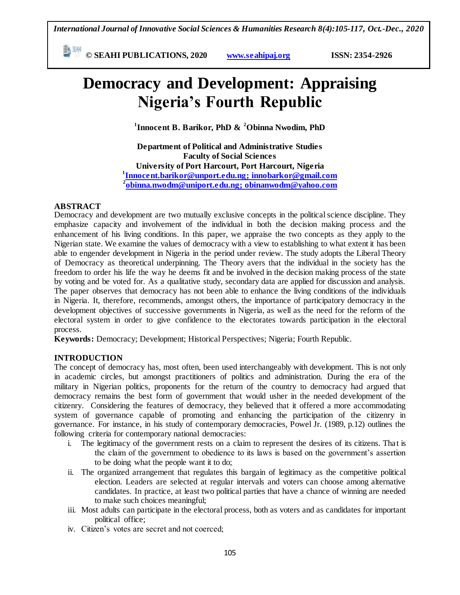*International Journal of Innovative Social Sciences & Humanities Research 8(4):105-117, Oct.-Dec., 2020*

**E**  $^{\frac{544}{20}}$  © SEAHI PUBLICATIONS, 2020 *www.seahipaj.org* **ISSN: 2354-2926** 

# **Democracy and Development: Appraising Nigeria's Fourth Republic**

**1 Innocent B. Barikor, PhD & <sup>2</sup>Obinna Nwodim, PhD**

**Department of Political and Administrative Studies Faculty of Social Sciences University of Port Harcourt, Port Harcourt, Nigeria 1 [Innocent.barikor@unport.edu.ng](mailto:Innocent.barikor@unport.edu.ng)[; innobarkor@gmail.com](mailto:innobarkor@gmail.com) 2 [obinna.nwodm@uniport.edu.ng;](mailto:obinna.nwodm@uniport.edu.ng) [obinanwodm@yahoo.com](mailto:obinanwodm@yahoo.com)** 

## **ABSTRACT**

Democracy and development are two mutually exclusive concepts in the political science discipline. They emphasize capacity and involvement of the individual in both the decision making process and the enhancement of his living conditions. In this paper, we appraise the two concepts as they apply to the Nigerian state. We examine the values of democracy with a view to establishing to what extent it has been able to engender development in Nigeria in the period under review. The study adopts the Liberal Theory of Democracy as theoretical underpinning. The Theory avers that the individual in the society has the freedom to order his life the way he deems fit and be involved in the decision making process of the state by voting and be voted for. As a qualitative study, secondary data are applied for discussion and analysis. The paper observes that democracy has not been able to enhance the living conditions of the individuals in Nigeria. It, therefore, recommends, amongst others, the importance of participatory democracy in the development objectives of successive governments in Nigeria, as well as the need for the reform of the electoral system in order to give confidence to the electorates towards participation in the electoral process.

**Keywords:** Democracy; Development; Historical Perspectives; Nigeria; Fourth Republic.

## **INTRODUCTION**

The concept of democracy has, most often, been used interchangeably with development. This is not only in academic circles, but amongst practitioners of politics and administration. During the era of the military in Nigerian politics, proponents for the return of the country to democracy had argued that democracy remains the best form of government that would usher in the needed development of the citizenry. Considering the features of democracy, they believed that it offered a more accommodating system of governance capable of promoting and enhancing the participation of the citizenry in governance. For instance, in his study of contemporary democracies, Powel Jr. (1989, p.12) outlines the following criteria for contemporary national democracies:

- i. The legitimacy of the government rests on a claim to represent the desires of its citizens. That is the claim of the government to obedience to its laws is based on the government"s assertion to be doing what the people want it to do;
- ii. The organized arrangement that regulates this bargain of legitimacy as the competitive political election. Leaders are selected at regular intervals and voters can choose among alternative candidates. In practice, at least two political parties that have a chance of winning are needed to make such choices meaningful;
- iii. Most adults can participate in the electoral process, both as voters and as candidates for important political office;
- iv. Citizen"s votes are secret and not coerced;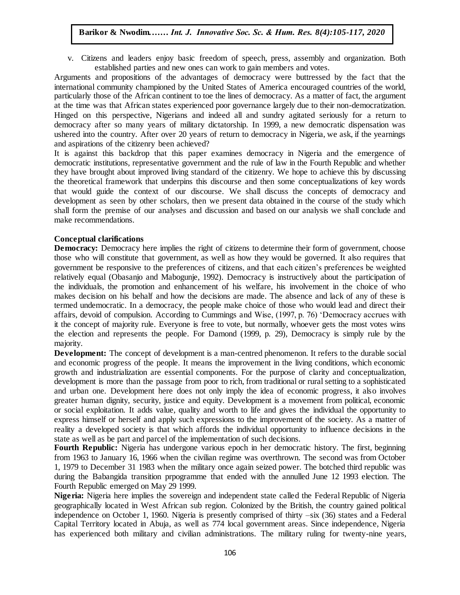v. Citizens and leaders enjoy basic freedom of speech, press, assembly and organization. Both established parties and new ones can work to gain members and votes.

Arguments and propositions of the advantages of democracy were buttressed by the fact that the international community championed by the United States of America encouraged countries of the world, particularly those of the African continent to toe the lines of democracy. As a matter of fact, the argument at the time was that African states experienced poor governance largely due to their non-democratization. Hinged on this perspective, Nigerians and indeed all and sundry agitated seriously for a return to democracy after so many years of military dictatorship. In 1999, a new democratic dispensation was ushered into the country. After over 20 years of return to democracy in Nigeria, we ask, if the yearnings and aspirations of the citizenry been achieved?

It is against this backdrop that this paper examines democracy in Nigeria and the emergence of democratic institutions, representative government and the rule of law in the Fourth Republic and whether they have brought about improved living standard of the citizenry. We hope to achieve this by discussing they have orought about improved iving standard or the cluzelity. We hope to achieve this by discussing the theoretical framework that underpins this discourse and then some conceptualizations of key words that would guide the context of our discourse. We shall discuss the concepts of democracy and development as seen by other scholars, then we present data obtained in the course of the study which shall form the premise of our analyses and discussion and based on our analysis we shall conclude and well-expression and based on our analysis we shall conclude and make recommendations.

#### **Conceptual clarifications**

**Democracy:** Democracy here implies the right of citizens to determine their form of government, choose **Exhibitracy.** Democracy here implies the right of entaxits to determine their form of government, choose those who will constitute that government, as well as how they would be governed. It also requires that government be responsive to the preferences of citizens, and that each citizen"s preferences be weighted relatively equal (Obasanjo and Mabogunje, 1992). Democracy is instructively about the participation of the individuals, the promotion and enhancement of his welfare, his involvement in the choice of who makes decision on his behalf and how the decisions are made. The absence and lack of any of these is models of which makes decision on his behalf and how the decisions are made. The absence and lack of any of these is termed undemocratic. In a democracy, the people make choice of those who would lead and direct their affairs, devoid of compulsion. According to Cummings and Wise, (1997, p. 76) "Democracy accrues with it the concept of majority rule. Everyone is free to vote, but normally, whoever gets the most votes wins the election and represents the people. For Damond (1999, p. 29), Democracy is simply rule by the majority.

**Development:** The concept of development is a man-centred phenomenon. It refers to the durable social and economic progress of the people. It means the improvement in the living conditions, which economic growth and industrialization are essential components. For the purpose of clarity and conceptualization, development is more than the passage from poor to rich, from traditional or rural setting to a sophisticated and urban one. Development here does not only imply the idea of economic progress, it also involves greater human dignity, security, justice and equity. Development is a movement from political, economic or social exploitation. It adds value, quality and worth to life and gives the individual the opportunity to express himself or herself and apply such expressions to the improvement of the society. As a matter of reality a developed society is that which affords the individual opportunity to influence decisions in the state as well as be part and parcel of the implementation of such decisions.

**Fourth Republic:** Nigeria has undergone various epoch in her democratic history. The first, beginning from 1963 to January 16, 1966 when the civilian regime was overthrown. The second was from October 1, 1979 to December 31 1983 when the military once again seized power. The botched third republic was during the Babangida transition prpogramme that ended with the annulled June 12 1993 election. The Fourth Republic emerged on May 29 1999.

**Nigeria:** Nigeria here implies the sovereign and independent state called the Federal Republic of Nigeria geographically located in West African sub region. Colonized by the British, the country gained political independence on October 1, 1960. Nigeria is presently comprised of thirty –six (36) states and a Federal Capital Territory located in Abuja, as well as 774 local government areas. Since independence, Nigeria has experienced both military and civilian administrations. The military ruling for twenty-nine years,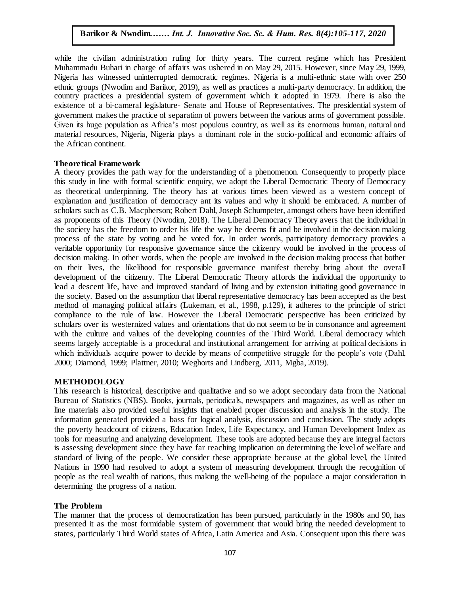while the civilian administration ruling for thirty years. The current regime which has President While the elyman administration runng for thirty years. The editem regime which has resistent Muhammadu Buhari in charge of affairs was ushered in on May 29, 2015. However, since May 29, 1999, Nigeria has witnessed uninterrupted democratic regimes. Nigeria is a multi-ethnic state with over 250 ethnic groups (Nwodim and Barikor, 2019), as well as practices a multi-party democracy. In addition, the country practices a presidential system of government which it adopted in 1979. There is also the existence of a bi-cameral legislature- Senate and House of Representatives. The presidential system of existence of a bi-cameral legislature- Senate and House of Representatives. The presidential system of government makes the practice of separation of powers between the various arms of government possible. Given its huge population as Africa"s most populous country, as well as its enormous human, natural and material resources, Nigeria, Nigeria plays a dominant role in the socio-political and economic affairs of the African continent the African continent.

#### **Theoretical Framework**

A theory provides the path way for the understanding of a phenomenon. Consequently to properly place this study in line with formal scientific enquiry, we adopt the Liberal Democratic Theory of Democracy this study in line with formal scientific enquiry, we adopt the Liberal Democratic Theory of Democracy as theoretical underpinning. The theory has at various times been viewed as a western concept of explanation and justification of democracy ant its values and why it should be embraced. A number of scholars such as C.B. Macpherson; Robert Dahl, Joseph Schumpeter, amongst others have been identified as proponents of this Theory (Nwodim, 2018). The Liberal Democracy Theory avers that the individual in as proponents of this Theory (Nwodim, 2018). The Liberal Democracy Theory avers that the individual in the society has the freedom to order his life the way he deems fit and be involved in the decision making process of the state by voting and be voted for. In order words, participatory democracy provides a veritable opportunity for responsive governance since the citizenry would be involved in the process of decision making. In other words, when the people are involved in the decision making process that bother decision on their lives, the likelihood for responsible governance manifest thereby bring about the overall development of the citizenry. The Liberal Democratic Theory affords the individual the opportunity to lead a descent life, have and improved standard of living and by extension initiating good governance in the society. Based on the assumption that liberal representative democracy has been accepted as the best the society. method of managing political affairs (Lukeman, et al., 1998, p.129), it adheres to the principle of strict compliance to the rule of law. However the Liberal Democratic perspective has been criticized by scholars over its westernized values and orientations that do not seem to be in consonance and agreement with the culture and values of the developing countries of the Third World. Liberal democracy which seems largely acceptable is a procedural and institutional arrangement for arriving at political decisions in which individuals acquire power to decide by means of competitive struggle for the people's vote (Dahl, 2000; Diamond, 1999; Plattner, 2010; Weghorts and Lindberg, 2011, Mgba, 2019).

#### **METHODOLOGY**

This research is historical, descriptive and qualitative and so we adopt secondary data from the National Bureau of Statistics (NBS). Books, journals, periodicals, newspapers and magazines, as well as other on line materials also provided useful insights that enabled proper discussion and analysis in the study. The information generated provided a bass for logical analysis, discussion and conclusion. The study adopts the poverty headcount of citizens, Education Index, Life Expectancy, and Human Development Index as tools for measuring and analyzing development. These tools are adopted because they are integral factors is assessing development since they have far reaching implication on determining the level of welfare and standard of living of the people. We consider these appropriate because at the global level, the United Nations in 1990 had resolved to adopt a system of measuring development through the recognition of people as the real wealth of nations, thus making the well-being of the populace a major consideration in determining the progress of a nation.

#### **The Problem**

The manner that the process of democratization has been pursued, particularly in the 1980s and 90, has presented it as the most formidable system of government that would bring the needed development to states, particularly Third World states of Africa, Latin America and Asia. Consequent upon this there was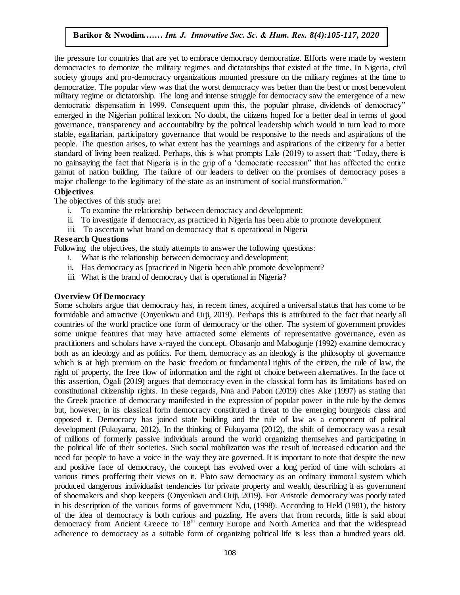the pressure for countries that are yet to embrace democracy democratize. Efforts were made by western democracies to demonize the military regimes and dictatorships that existed at the time. In Nigeria, civil society groups and pro-democracy organizations mounted pressure on the military regimes at the time to democratize. The popular view was that the worst democracy was better than the best or most benevolent military regime or dictatorship. The long and intense struggle for democracy saw the emergence of a new democratic dispensation in 1999. Consequent upon this, the popular phrase, dividends of democracy" emerged in the Nigerian political lexicon. No doubt, the citizens hoped for a better deal in terms of good governance, transparency and accountability by the political leadership which would in turn lead to more stable, egalitarian, participatory governance that would be responsive to the needs and aspirations of the people. The question arises, to what extent has the yearnings and aspirations of the citizenry for a better standard of living been realized. Perhaps, this is what prompts Lale (2019) to assert that: "Today, there is no gainsaying the fact that Nigeria is in the grip of a "democratic recession" that has affected the entire gamut of nation building. The failure of our leaders to deliver on the promises of democracy poses a major challenge to the legitimacy of the state as an instrument of social transformation."

#### **Objectives**

The objectives of this study are:

- i. To examine the relationship between democracy and development;
- ii. To investigate if democracy, as practiced in Nigeria has been able to promote development
- iii. To ascertain what brand on democracy that is operational in Nigeria

#### **Research Questions**

Following the objectives, the study attempts to answer the following questions:

- i. What is the relationship between democracy and development;
- ii. Has democracy as [practiced in Nigeria been able promote development?
- iii. What is the brand of democracy that is operational in Nigeria?

## **Overview Of Democracy**

Some scholars argue that democracy has, in recent times, acquired a universal status that has come to be formidable and attractive (Onyeukwu and Orji, 2019). Perhaps this is attributed to the fact that nearly all countries of the world practice one form of democracy or the other. The system of government provides some unique features that may have attracted some elements of representative governance, even as practitioners and scholars have x-rayed the concept. Obasanjo and Mabogunje (1992) examine democracy both as an ideology and as politics. For them, democracy as an ideology is the philosophy of governance which is at high premium on the basic freedom or fundamental rights of the citizen, the rule of law, the right of property, the free flow of information and the right of choice between alternatives. In the face of this assertion, Ogali (2019) argues that democracy even in the classical form has its limitations based on constitutional citizenship rights. In these regards, Nna and Pabon (2019) cites Ake (1997) as stating that the Greek practice of democracy manifested in the expression of popular power in the rule by the demos but, however, in its classical form democracy constituted a threat to the emerging bourgeois class and opposed it. Democracy has joined state building and the rule of law as a component of political development (Fukuyama, 2012). In the thinking of Fukuyama (2012), the shift of democracy was a result of millions of formerly passive individuals around the world organizing themselves and participating in the political life of their societies. Such social mobilization was the result of increased education and the need for people to have a voice in the way they are governed. It is important to note that despite the new and positive face of democracy, the concept has evolved over a long period of time with scholars at various times proffering their views on it. Plato saw democracy as an ordinary immoral system which produced dangerous individualist tendencies for private property and wealth, describing it as government of shoemakers and shop keepers (Onyeukwu and Oriji, 2019). For Aristotle democracy was poorly rated in his description of the various forms of government Ndu, (1998). According to Held (1981), the history of the idea of democracy is both curious and puzzling. He avers that from records, little is said about democracy from Ancient Greece to  $18<sup>th</sup>$  century Europe and North America and that the widespread adherence to democracy as a suitable form of organizing political life is less than a hundred years old.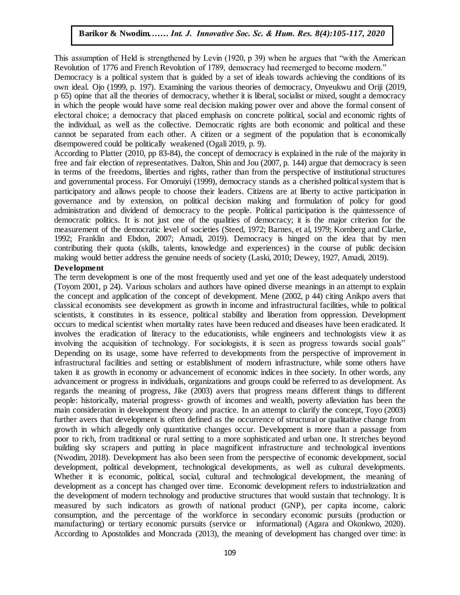This assumption of Held is strengthened by Levin (1920, p 39) when he argues that "with the American This assumption of 1real is such ginerical by EUVIII (1920, p 39) when he argues that with the African Revolution of 1776 and French Revolution of 1789, democracy had reemerged to become modern."

Democracy is a political system that is guided by a set of ideals towards achieving the conditions of its own ideal. Ojo (1999, p. 197). Examining the various theories of democracy, Onyeukwu and Oriji (2019, p 65) opine that all the theories of democracy, whether it is liberal, socialist or mixed, sought a democracy p by opine that an the theories of definition, whether it is notifial, socialist of final capacity in which the people would have some real decision making power over and above the formal consent of electoral choice; a democracy that placed emphasis on concrete political, social and economic rights of the individual, as well as the collective. Democratic rights are both economic and political and these cannot be separated from each other. A citizen or a segment of the population that is economically disempowered could be politically weakened (Ogali 2019, p. 9).

According to Platter (2010, pp 83-84), the concept of democracy is explained in the rule of the majority in free and fair election of representatives. Dalton, Shin and Jou (2007, p. 144) argue that democracy is seen in terms of the freedoms, liberties and rights, rather than from the perspective of institutional structures and governmental process. For Omoruiyi (1999), democracy stands as a cherished political system that is and governmental process. participatory and allows people to choose their leaders. Citizens are at liberty to active participation in governance and by extension, on political decision making and formulation of policy for good administration and dividend of democracy to the people. Political participation is the quintessence of democratic politics. It is not just one of the qualities of democracy; it is the major criterion for the measurement of the democratic level of societies (Steed, 1972; Barnes, et al, 1979; Kornberg and Clarke, 1992; Franklin and Ebdon, 2007; Amadi, 2019). Democracy is hinged on the idea that by men contributing their quota (skills, talents, knowledge and experiences) in the course of public decision esimbiling their quota (shalls, talents, his whelge and experiences) in the course of passic de-<br>making would better address the genuine needs of society (Laski, 2010; Dewey, 1927, Amadi, 2019).

#### **Development**

The term development is one of the most frequently used and yet one of the least adequately understood (Toyom 2001, p 24). Various scholars and authors have opined diverse meanings in an attempt to explain the concept and application of the concept of development. Mene  $(2002, p 44)$  citing Anikpo avers that classical economists see development as growth in income and infrastructural facilities, while to political scientists, it constitutes in its essence, political stability and liberation from oppression. Development occurs to medical scientist when mortality rates have been reduced and diseases have been eradicated. It involves the eradication of literacy to the educationists, while engineers and technologists view it as involving the acquisition of technology. For sociologists, it is seen as progress towards social goals" Depending on its usage, some have referred to developments from the perspective of improvement in infrastructural facilities and setting or establishment of modern infrastructure, while some others have taken it as growth in economy or advancement of economic indices in thee society. In other words, any advancement or progress in individuals, organizations and groups could be referred to as development. As regards the meaning of progress, Jike (2003) avers that progress means different things to different people: historically, material progress- growth of incomes and wealth, poverty alleviation has been the main consideration in development theory and practice. In an attempt to clarify the concept, Toyo (2003) further avers that development is often defined as the occurrence of structural or qualitative change from growth in which allegedly only quantitative changes occur. Development is more than a passage from poor to rich, from traditional or rural setting to a more sophisticated and urban one. It stretches beyond building sky scrapers and putting in place magnificent infrastructure and technological inventions (Nwodim, 2018). Development has also been seen from the perspective of economic development, social development, political development, technological developments, as well as cultural developments. Whether it is economic, political, social, cultural and technological development, the meaning of development as a concept has changed over time. Economic development refers to industrialization and the development of modern technology and productive structures that would sustain that technology. It is measured by such indicators as growth of national product (GNP), per capita income, caloric consumption, and the percentage of the workforce in secondary economic pursuits (production or manufacturing) or tertiary economic pursuits (service or informational) (Agara and Okonkwo, 2020). According to Apostolides and Moncrada (2013), the meaning of development has changed over time: in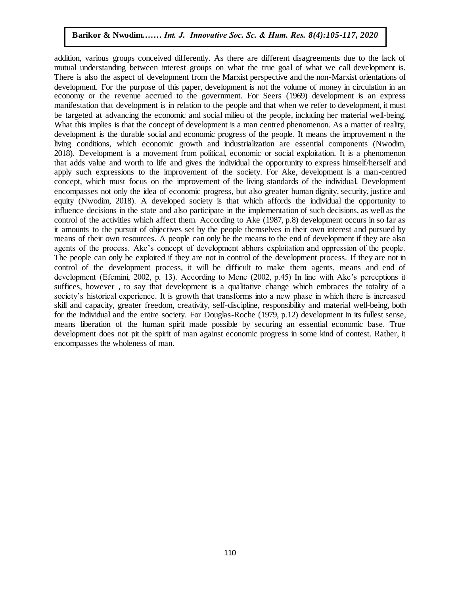addition, various groups conceived differently. As there are different disagreements due to the lack of mutual understanding between interest groups on what the true goal of what we call development is. There is also the aspect of development from the Marxist perspective and the non-Marxist orientations of development. For the purpose of this paper, development is not the volume of money in circulation in an economy or the revenue accrued to the government. For Seers (1969) development is an express manifestation that development is in relation to the people and that when we refer to development, it must be targeted at advancing the economic and social milieu of the people, including her material well-being. What this implies is that the concept of development is a man centred phenomenon. As a matter of reality, development is the durable social and economic progress of the people. It means the improvement n the living conditions, which economic growth and industrialization are essential components (Nwodim, 2018). Development is a movement from political, economic or social exploitation. It is a phenomenon that adds value and worth to life and gives the individual the opportunity to express himself/herself and apply such expressions to the improvement of the society. For Ake, development is a man-centred concept, which must focus on the improvement of the living standards of the individual. Development encompasses not only the idea of economic progress, but also greater human dignity, security, justice and equity (Nwodim, 2018). A developed society is that which affords the individual the opportunity to influence decisions in the state and also participate in the implementation of such decisions, as well as the control of the activities which affect them. According to Ake  $(1987, p.8)$  development occurs in so far as it amounts to the pursuit of objectives set by the people themselves in their own interest and pursued by means of their own resources. A people can only be the means to the end of development if they are also agents of the process. Ake"s concept of development abhors exploitation and oppression of the people. The people can only be exploited if they are not in control of the development process. If they are not in control of the development process, it will be difficult to make them agents, means and end of development (Efemini, 2002, p. 13). According to Mene (2002, p.45) In line with Ake's perceptions it suffices, however , to say that development is a qualitative change which embraces the totality of a society's historical experience. It is growth that transforms into a new phase in which there is increased skill and capacity, greater freedom, creativity, self-discipline, responsibility and material well-being, both for the individual and the entire society. For Douglas-Roche (1979, p.12) development in its fullest sense, means liberation of the human spirit made possible by securing an essential economic base. True development does not pit the spirit of man against economic progress in some kind of contest. Rather, it encompasses the wholeness of man.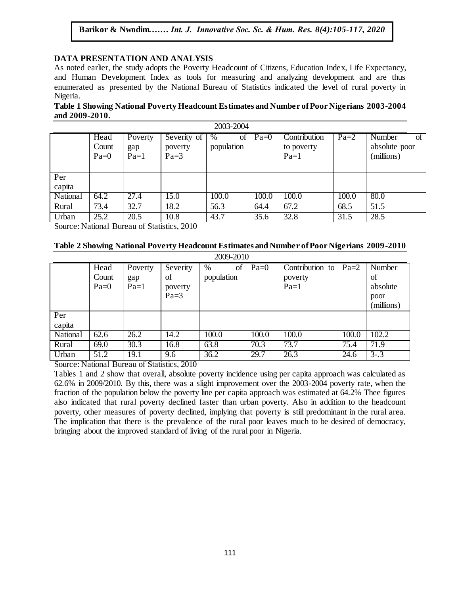## DATA PRESENTATION AND ANALYSIS

As noted earlier, the study adopts the Poverty Headcount of Citizens, Education Index, Life Expectancy, and Human Development Index as tools for measuring and analyzing development and are thus enumerated as presented by the National Bureau of Statistics indicated the level of rural poverty in Nigeria.  $A$ rugu  $\mathcal{A}$  J. Innovative Soc. Sc.  $\mathcal{A}$  Hum. Res. 8(1):1-11, 2020

**Table 1 Showing National Poverty Headcount Estimates and Number of Poor Nigerians 2003-2004 and 2009-2010.**

| 2003-2004 |                         |                          |                                  |                       |        |                                      |        |                                             |
|-----------|-------------------------|--------------------------|----------------------------------|-----------------------|--------|--------------------------------------|--------|---------------------------------------------|
|           | Head<br>Count<br>$Pa=0$ | Poverty<br>gap<br>$Pa=1$ | Severity of<br>poverty<br>$Pa=3$ | %<br>οf<br>population | $Pa=0$ | Contribution<br>to poverty<br>$Pa=1$ | $Pa=2$ | Number<br>οf<br>absolute poor<br>(millions) |
| Per       |                         |                          |                                  |                       |        |                                      |        |                                             |
| capita    |                         |                          |                                  |                       |        |                                      |        |                                             |
| National  | 64.2                    | 27.4                     | 15.0                             | 100.0                 | 100.0  | 100.0                                | 100.0  | 80.0                                        |
| Rural     | 73.4                    | 32.7                     | 18.2                             | 56.3                  | 64.4   | 67.2                                 | 68.5   | 51.5                                        |
| Urban     | 25.2                    | 20.5                     | 10.8                             | 43.7                  | 35.6   | 32.8                                 | 31.5   | 28.5                                        |

Source: National Bureau of Statistics, 2010

## Table 2 Showing National Poverty Headcount Estimates and Number of Poor Nigerians 2009-2010

| 2009-2010       |        |         |          |            |        |                 |        |            |
|-----------------|--------|---------|----------|------------|--------|-----------------|--------|------------|
|                 | Head   | Poverty | Severity | %<br>of    | $Pa=0$ | Contribution to | $Pa=2$ | Number     |
|                 | Count  | gap     | of       | population |        | poverty         |        | of         |
|                 | $Pa=0$ | $Pa=1$  | poverty  |            |        | $Pa=1$          |        | absolute   |
|                 |        |         | $Pa=3$   |            |        |                 |        | poor       |
|                 |        |         |          |            |        |                 |        | (millions) |
| Per             |        |         |          |            |        |                 |        |            |
| capita          |        |         |          |            |        |                 |        |            |
| <b>National</b> | 62.6   | 26.2    | 14.2     | 100.0      | 100.0  | 100.0           | 100.0  | 102.2      |
| Rural           | 69.0   | 30.3    | 16.8     | 63.8       | 70.3   | 73.7            | 75.4   | 71.9       |
| Urban           | 51.2   | 19.1    | 9.6      | 36.2       | 29.7   | 26.3            | 24.6   | $3 - 3$    |

Source: National Bureau of Statistics, 2010

Tables 1 and 2 show that overall, absolute poverty incidence using per capita approach was calculated as 62.6% in 2009/2010. By this, there was a slight improvement over the 2003-2004 poverty rate, when the fraction of the population below the poverty line per capita approach was estimated at 64.2% Thee figures also indicated that rural poverty declined faster than urban poverty. Also in addition to the headcount poverty, other measures of poverty declined, implying that poverty is still predominant in the rural area. The implication that there is the prevalence of the rural poor leaves much to be desired of democracy, bringing about the improved standard of living of the rural poor in Nigeria.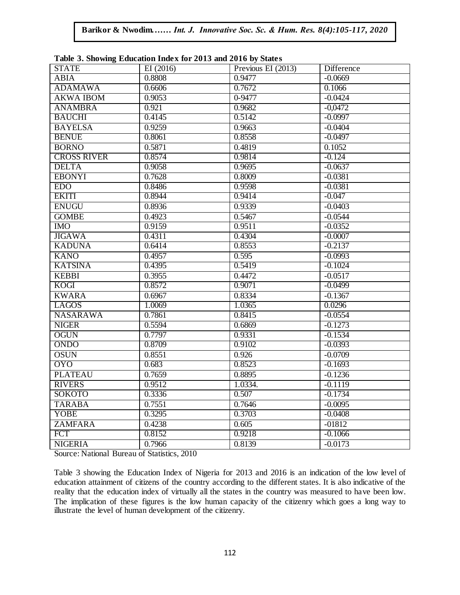| <b>STATE</b>       | Table 5: Showing Equication thuck for 2015 and 2010 by Blacks<br>EI(2016) | Previous EI (2013) | Difference |
|--------------------|---------------------------------------------------------------------------|--------------------|------------|
| <b>ABIA</b>        | 0.8808                                                                    | 0.9477             | $-0.0669$  |
| <b>ADAMAWA</b>     | 0.6606                                                                    | 0.7672             | 0.1066     |
| <b>AKWA IBOM</b>   | 0.9053                                                                    | $0 - 9477$         | $-0.0424$  |
| <b>ANAMBRA</b>     | 0.921                                                                     | 0.9682             | $-0,0472$  |
| <b>BAUCHI</b>      | 0.4145                                                                    | 0.5142             | $-0.0997$  |
| <b>BAYELSA</b>     | 0.9259                                                                    | 0.9663             | $-0.0404$  |
| <b>BENUE</b>       | 0.8061                                                                    | 0.8558             | $-0.0497$  |
| <b>BORNO</b>       | 0.5871                                                                    | 0.4819             | 0.1052     |
| <b>CROSS RIVER</b> | 0.8574                                                                    | 0.9814             | $-0.124$   |
| <b>DELTA</b>       | 0.9058                                                                    | 0.9695             | $-0.0637$  |
| <b>EBONYI</b>      | 0.7628                                                                    | 0.8009             | $-0.0381$  |
| <b>EDO</b>         | 0.8486                                                                    | 0.9598             | $-0.0381$  |
| <b>EKITI</b>       | 0.8944                                                                    | 0.9414             | $-0.047$   |
| <b>ENUGU</b>       | 0.8936                                                                    | 0.9339             | $-0.0403$  |
| <b>GOMBE</b>       | 0.4923                                                                    | 0.5467             | $-0.0544$  |
| <b>IMO</b>         | 0.9159                                                                    | 0.9511             | $-0.0352$  |
| <b>JIGAWA</b>      | 0.4311                                                                    | 0.4304             | $-0.0007$  |
| <b>KADUNA</b>      | 0.6414                                                                    | 0.8553             | $-0.2137$  |
| <b>KANO</b>        | 0.4957                                                                    | 0.595              | $-0.0993$  |
| <b>KATSINA</b>     | 0.4395                                                                    | 0.5419             | $-0.1024$  |
| <b>KEBBI</b>       | 0.3955                                                                    | 0.4472             | $-0.0517$  |
| <b>KOGI</b>        | 0.8572                                                                    | 0.9071             | $-0.0499$  |
| <b>KWARA</b>       | 0.6967                                                                    | 0.8334             | $-0.1367$  |
| <b>LAGOS</b>       | 1.0069                                                                    | 1.0365             | 0.0296     |
| <b>NASARAWA</b>    | 0.7861                                                                    | 0.8415             | $-0.0554$  |
| <b>NIGER</b>       | 0.5594                                                                    | 0.6869             | $-0.1273$  |
| <b>OGUN</b>        | 0.7797                                                                    | 0.9331             | $-0.1534$  |
| <b>ONDO</b>        | 0.8709                                                                    | 0.9102             | $-0.0393$  |
| <b>OSUN</b>        | 0.8551                                                                    | 0.926              | $-0.0709$  |
| <b>OYO</b>         | 0.683                                                                     | 0.8523             | $-0.1693$  |
| <b>PLATEAU</b>     | 0.7659                                                                    | 0.8895             | $-0.1236$  |
| <b>RIVERS</b>      | 0.9512                                                                    | 1.0334.            | $-0.1119$  |
| <b>SOKOTO</b>      | 0.3336                                                                    | 0.507              | $-0.1734$  |
| <b>TARABA</b>      | 0.7551                                                                    | 0.7646             | $-0.0095$  |
| YOBE               | 0.3295                                                                    | 0.3703             | $-0.0408$  |
| <b>ZAMFARA</b>     | 0.4238                                                                    | 0.605              | $-01812$   |
| <b>FCT</b>         | 0.8152                                                                    | 0.9218             | $-0.1066$  |
| <b>NIGERIA</b>     | 0.7966                                                                    | 0.8139             | $-0.0173$  |

Table 3. Showing Education Index for 2013 and 2016 by States

Source: National Bureau of Statistics, 2010

Table 3 showing the Education Index of Nigeria for 2013 and 2016 is an indication of the low level of education attainment of citizens of the country according to the different states. It is also indicative of the reality that the education index of virtually all the states in the country was measured to have been low. The implication of these figures is the low human capacity of the citizenry which goes a long way to illustrate the level of human development of the citizenry.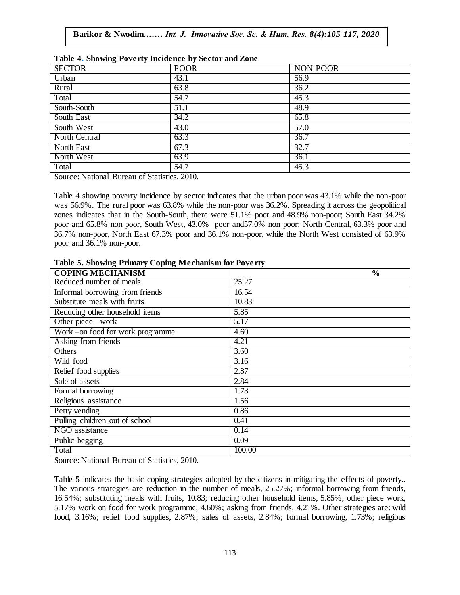|               | Tuble is one wing I overly incluence by because and Equip- |          |  |  |  |  |  |
|---------------|------------------------------------------------------------|----------|--|--|--|--|--|
| <b>SECTOR</b> | <b>POOR</b>                                                | NON-POOR |  |  |  |  |  |
| Urban         | 43.1                                                       | 56.9     |  |  |  |  |  |
| Rural         | 63.8                                                       | 36.2     |  |  |  |  |  |
| Total         | 54.7                                                       | 45.3     |  |  |  |  |  |
| South-South   | 51.1                                                       | 48.9     |  |  |  |  |  |
| South East    | 34.2                                                       | 65.8     |  |  |  |  |  |
| South West    | 43.0                                                       | 57.0     |  |  |  |  |  |
| North Central | 63.3                                                       | 36.7     |  |  |  |  |  |
| North East    | 67.3                                                       | 32.7     |  |  |  |  |  |
| North West    | 63.9                                                       | 36.1     |  |  |  |  |  |
| Total         | 54.7                                                       | 45.3     |  |  |  |  |  |

|  |  | Table 4. Showing Poverty Incidence by Sector and Zone |  |  |  |
|--|--|-------------------------------------------------------|--|--|--|
|  |  |                                                       |  |  |  |

Source: National Bureau of Statistics, 2010.

Table 4 showing poverty incidence by sector indicates that the urban poor was 43.1% while the non-poor was 56.9%. The rural poor was 63.8% while the non-poor was 36.2%. Spreading it across the geopolitical zones indicates that in the South-South, there were 51.1% poor and 48.9% non-poor; South East 34.2% poor and 65.8% non-poor, South West, 43.0% poor and57.0% non-poor; North Central, 63.3% poor and 36.7% non-poor, North East 67.3% poor and 36.1% non-poor, while the North West consisted of 63.9% poor and 36.1% non-poor.

| <b>COPING MECHANISM</b>           | $\frac{0}{0}$ |
|-----------------------------------|---------------|
| Reduced number of meals           | 25.27         |
| Informal borrowing from friends   | 16.54         |
| Substitute meals with fruits      | 10.83         |
| Reducing other household items    | 5.85          |
| Other piece -work                 | 5.17          |
| Work - on food for work programme | 4.60          |
| Asking from friends               | 4.21          |
| Others                            | 3.60          |
| Wild food                         | 3.16          |
| Relief food supplies              | 2.87          |
| Sale of assets                    | 2.84          |
| Formal borrowing                  | 1.73          |
| Religious assistance              | 1.56          |
| Petty vending                     | 0.86          |
| Pulling children out of school    | 0.41          |
| NGO assistance                    | 0.14          |
| Public begging                    | 0.09          |
| Total                             | 100.00        |

**Table 5. Showing Primary Coping Mechanism for Poverty**  $A_{\rm{max}}$  is the  $M_{\rm{max}}$  interaction social social social social social social social social social social social social social social social social social social social social social social social social social social

Source: National Bureau of Statistics, 2010.

Table **5** indicates the basic coping strategies adopted by the citizens in mitigating the effects of poverty.. The various strategies are reduction in the number of meals, 25.27%; informal borrowing from friends, 16.54%; substituting meals with fruits, 10.83; reducing other household items, 5.85%; other piece work, 5.17% work on food for work programme, 4.60%; asking from friends, 4.21%. Other strategies are: wild food, 3.16%; relief food supplies, 2.87%; sales of assets, 2.84%; formal borrowing, 1.73%; religious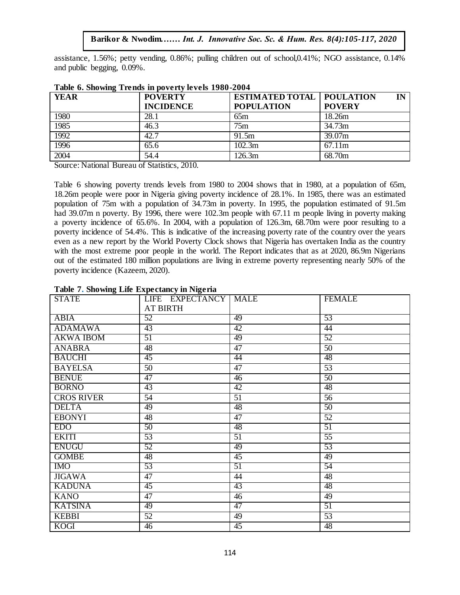assistance, 1.56%; petty vending, 0.86%; pulling children out of school,0.41%; NGO assistance, 0.14% and public begging,  $0.09\%$ .

| THEN YOU WILL LONG IN POVOITY IN YOUR 1900 HOU I |                  |                                    |               |  |  |  |  |
|--------------------------------------------------|------------------|------------------------------------|---------------|--|--|--|--|
| <b>YEAR</b>                                      | <b>POVERTY</b>   | <b>ESTIMATED TOTAL   POULATION</b> | IN            |  |  |  |  |
|                                                  | <b>INCIDENCE</b> | <b>POPULATION</b>                  | <b>POVERY</b> |  |  |  |  |
| 1980                                             | 28.1             | 65m                                | 18.26m        |  |  |  |  |
| 1985                                             | 46.3             | 75m                                | 34.73m        |  |  |  |  |
| 1992                                             | 42.7             | 91.5m                              | 39.07m        |  |  |  |  |
| 1996                                             | 65.6             | 102.3m                             | 67.11m        |  |  |  |  |
| 2004                                             | 54.4             | 126.3m                             | 68.70m        |  |  |  |  |

|  |  |  | Table 6. Showing Trends in poverty levels 1980-2004 |
|--|--|--|-----------------------------------------------------|
|  |  |  |                                                     |

Source: National Bureau of Statistics, 2010.

Table 6 showing poverty trends levels from 1980 to 2004 shows that in 1980, at a population of 65m, 18.26m people were poor in Nigeria giving poverty incidence of 28.1%. In 1985, there was an estimated population of 75m with a population of 34.73m in poverty. In 1995, the population estimated of 91.5m had 39.07m n poverty. By 1996, there were 102.3m people with 67.11 m people living in poverty making a poverty incidence of  $65.6\%$ . In 2004, with a population of 126.3m,  $68.70m$  were poor resulting to a poverty incidence of 54.4%. This is indicative of the increasing poverty rate of the country over the years even as a new report by the World Poverty Clock shows that Nigeria has overtaken India as the country with the most extreme poor people in the world. The Report indicates that as at 2020, 86.9m Nigerians out of the estimated 180 million populations are living in extreme poverty representing nearly 50% of the poverty incidence (Kazeem, 2020).

| o                 | $\bullet$            |                 |                 |
|-------------------|----------------------|-----------------|-----------------|
| <b>STATE</b>      | LIFE EXPECTANCY MALE |                 | <b>FEMALE</b>   |
|                   | <b>AT BIRTH</b>      |                 |                 |
| <b>ABIA</b>       | 52                   | 49              | 53              |
| <b>ADAMAWA</b>    | 43                   | $\overline{42}$ | 44              |
| <b>AKWA IBOM</b>  | 51                   | 49              | 52              |
| <b>ANABRA</b>     | $\overline{48}$      | 47              | $\overline{50}$ |
| <b>BAUCHI</b>     | 45                   | 44              | 48              |
| <b>BAYELSA</b>    | 50                   | 47              | 53              |
| <b>BENUE</b>      | 47                   | 46              | 50              |
| <b>BORNO</b>      | 43                   | 42              | 48              |
| <b>CROS RIVER</b> | $\overline{54}$      | $\overline{51}$ | $\overline{56}$ |
| <b>DELTA</b>      | 49                   | 48              | $\overline{50}$ |
| <b>EBONYI</b>     | 48                   | 47              | $\overline{52}$ |
| <b>EDO</b>        | 50                   | 48              | 51              |
| <b>EKITI</b>      | $\overline{53}$      | 51              | $\overline{55}$ |
| <b>ENUGU</b>      | 52                   | 49              | 53              |
| <b>GOMBE</b>      | 48                   | 45              | 49              |
| <b>IMO</b>        | 53                   | 51              | 54              |
| <b>JIGAWA</b>     | 47                   | 44              | 48              |
| <b>KADUNA</b>     | 45                   | 43              | 48              |
| <b>KANO</b>       | 47                   | 46              | 49              |
| <b>KATSINA</b>    | 49                   | 47              | 51              |
| <b>KEBBI</b>      | $\overline{52}$      | 49              | $\overline{53}$ |
| <b>KOGI</b>       | 46                   | 45              | 48              |

#### **Table 7. Showing Life Expectancy in Nigeria**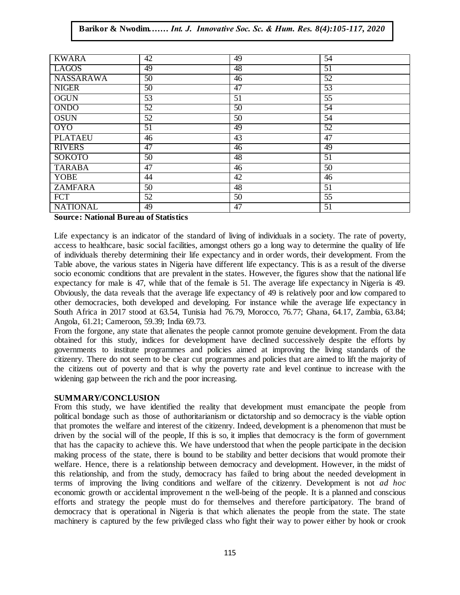| <b>KWARA</b>     | 42 | 49 | 54                                           |  |  |  |  |  |  |
|------------------|----|----|----------------------------------------------|--|--|--|--|--|--|
| <b>LAGOS</b>     | 49 | 48 | 51                                           |  |  |  |  |  |  |
| <b>NASSARAWA</b> | 50 | 46 | 52                                           |  |  |  |  |  |  |
| <b>NIGER</b>     | 50 | 47 | 53                                           |  |  |  |  |  |  |
| <b>OGUN</b>      | 53 | 51 | $\overline{55}$                              |  |  |  |  |  |  |
| <b>ONDO</b>      | 52 | 50 | 54                                           |  |  |  |  |  |  |
| <b>OSUN</b>      | 52 | 50 | 54                                           |  |  |  |  |  |  |
| <b>OYO</b>       | 51 | 49 | 52                                           |  |  |  |  |  |  |
| <b>PLATAEU</b>   | 46 | 43 | 47                                           |  |  |  |  |  |  |
| <b>RIVERS</b>    | 47 | 46 | 49                                           |  |  |  |  |  |  |
| <b>SOKOTO</b>    | 50 | 48 | 51                                           |  |  |  |  |  |  |
| <b>TARABA</b>    | 47 | 46 | 50                                           |  |  |  |  |  |  |
| <b>YOBE</b>      | 44 | 42 | 46                                           |  |  |  |  |  |  |
| <b>ZAMFARA</b>   | 50 | 48 | 51                                           |  |  |  |  |  |  |
| <b>FCT</b>       | 52 | 50 | 55                                           |  |  |  |  |  |  |
| <b>NATIONAL</b>  | 49 | 47 | 51                                           |  |  |  |  |  |  |
|                  |    |    | <b>Source: National Bureau of Statistics</b> |  |  |  |  |  |  |

Life expectancy is an indicator of the standard of living of individuals in a society. The rate of poverty, access to healthcare, basic social facilities, amongst others go a long way to determine the quality of life access to healthcare, basic social racinues, amongst others go a long way to determine the quality of the of individuals thereby determining their life expectancy and in order words, their development. From the Table above, the various states in Nigeria have different life expectancy. This is as a result of the diverse socio economic conditions that are prevalent in the states. However, the figures show that the national life expectancy for male is 47, while that of the female is 51. The average life expectancy in Nigeria is 49. Obviously, the data reveals that the average life expectancy of 49 is relatively poor and low compared to Obviously, the data reveals that the average life expectancy of 49 is relatively poor and low compared to other democracies, both developed and developing. For instance while the average life expectancy in South Africa in 2017 stood at 63.54, Tunisia had 76.79, Morocco, 76.77; Ghana, 64.17, Zambia, 63.84; Angola, 61.21; Cameroon, 59.39; India 69.73.

From the forgone, any state that alienates the people cannot promote genuine development. From the data obtained for this study, indices for development have declined successively despite the efforts by governments to institute programmes and policies aimed at improving the living standards of the citizenry. There do not seem to be clear cut programmes and policies that are aimed to lift the majority of the citizens out of poverty and that is why the poverty rate and level continue to increase with the widening gap between the rich and the poor increasing.

#### **SUMMARY/CONCLUSION**

From this study, we have identified the reality that development must emancipate the people from political bondage such as those of authoritarianism or dictatorship and so democracy is the viable option that promotes the welfare and interest of the citizenry. Indeed, development is a phenomenon that must be driven by the social will of the people, If this is so, it implies that democracy is the form of government that has the capacity to achieve this. We have understood that when the people participate in the decision making process of the state, there is bound to be stability and better decisions that would promote their welfare. Hence, there is a relationship between democracy and development. However, in the midst of this relationship, and from the study, democracy has failed to bring about the needed development in terms of improving the living conditions and welfare of the citizenry. Development is not *ad hoc* economic growth or accidental improvement n the well-being of the people. It is a planned and conscious efforts and strategy the people must do for themselves and therefore participatory. The brand of democracy that is operational in Nigeria is that which alienates the people from the state. The state machinery is captured by the few privileged class who fight their way to power either by hook or crook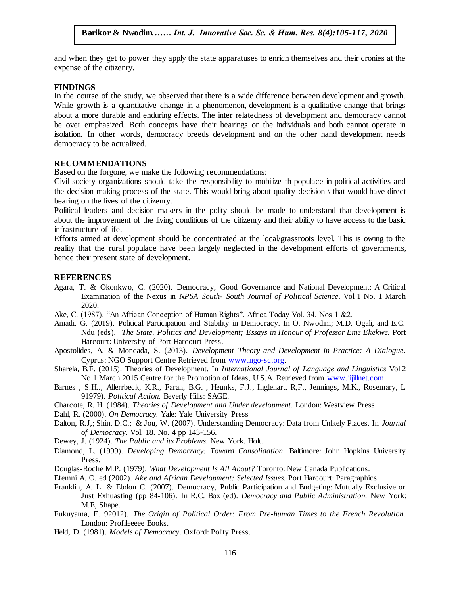and when they get to power they apply the state apparatuses to enrich themselves and their cronies at the presence of the cities was expense of the citizenry.

#### **FINDINGS**

In the course of the study, we observed that there is a wide difference between development and growth. In the course of the study, we observed that there is a wide difference between development and growth.<br>While growth is a quantitative change in a phenomenon, development is a qualitative change that brings about a more durable and enduring effects. The inter relatedness of development and democracy cannot be over emphasized. Both concepts have their bearings on the individuals and both cannot operate in isolation. In other words, democracy breeds development and on the other hand development needs democracy breeds development and on the other hand development needs democracy to be actualized.

#### **RECOMMENDATIONS**

Based on the forgone, we make the following recommendations:

Based on the forgone, we make the following recommendations.<br>Civil society organizations should take the responsibility to mobilize th populace in political activities and the decision making process of the state. This would bring about quality decision \ that would have direct bearing on the lives of the citizenry.

Political leaders and decision makers in the polity should be made to understand that development is about the improvement of the living conditions of the citizenry and their ability to have access to the basic about the improvement of the living conditions of the citizenry and their ability to have access to the basic infrastructure of life.

Efforts aimed at development should be concentrated at the local/grassroots level. This is owing to the reality that the rural populace have been largely neglected in the development efforts of governments, hence their present state of development.

#### **REFERENCES**

- Agara, T. & Okonkwo, C. (2020). Democracy, Good Governance and National Development: A Critical Examination of the Nexus in *NPSA South-South Journal of Political Science*. Vol 1 No. 1 March 2020.
- Ake, C. (1987). "An African Conception of Human Rights". Africa Today Vol. 34. Nos 1 &2.
- Amadi, G. (2019). Political Participation and Stability in Democracy. In O. Nwodim; M.D. Ogali, and E.C. Ndu (eds). *The State, Politics and Development; Essays in Honour of Professor Eme Ekekwe.* Port Harcourt: University of Port Harcourt Press.
- Apostolides, A. & Moncada, S. (2013). *Development Theory and Development in Practice: A Dialogue*. Cyprus: NGO Support Centre Retrieved fro[m www.ngo-sc.org](http://www.ngo-sc.org/).
- Sharela, B.F. (2015). Theories of Development. In *International Journal of Language and Linguistics* Vol 2 No 1 March 2015 Centre for the Promotion of Ideas, U.S.A. Retrieved fro[m www.iijillnet.com](http://www.iijillnet.com/).
- Barnes , S.H.., Allerrbeck, K.R., Farah, B.G. , Heunks, F.J., Inglehart, R,F., Jennings, M.K., Rosemary, L 91979). *Political Action.* Beverly Hills: SAGE.
- Charcote, R. H. (1984). *Theories of Development and Under development*. London: Westview Press.
- Dahl, R. (2000). *On Democracy.* Yale: Yale University Press
- Dalton, R.J,; Shin, D.C.; & Jou, W. (2007). Understanding Democracy: Data from Unlkely Places. In *Journal of Democracy*. Vol. 18. No. 4 pp 143-156.
- Dewey, J. (1924). *The Public and its Problems*. New York. Holt.
- Diamond, L. (1999). *Developing Democracy: Toward Consolidation*. Baltimore: John Hopkins University Press.
- Douglas-Roche M.P. (1979). *What Development Is All About?* Toronto: New Canada Publications.
- Efemni A. O. ed (2002). *Ake and African Development: Selected Issues.* Port Harcourt: Paragraphics.
- Franklin, A. L. & Ebdon C. (2007). Democracy, Public Participation and Budgeting: Mutually Exclusive or Just Exhuasting (pp 84-106). In R.C. Box (ed). *Democracy and Public Administration.* New York: M.E, Shape.
- Fukuyama, F. 92012). *The Origin of Political Order: From Pre-human Times to the French Revolution.* London: Profileeeee Books.
- Held, D. (1981). *Models of Democracy*. Oxford: Polity Press.